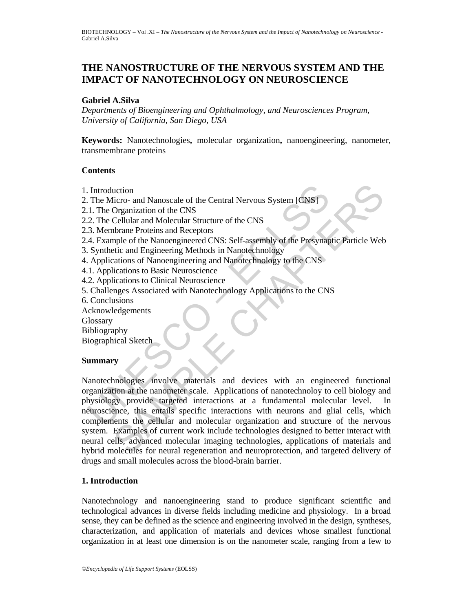# **THE NANOSTRUCTURE OF THE NERVOUS SYSTEM AND THE IMPACT OF NANOTECHNOLOGY ON NEUROSCIENCE**

### **Gabriel A.Silva**

*Departments of Bioengineering and Ophthalmology, and Neurosciences Program, University of California, San Diego, USA* 

**Keywords:** Nanotechnologies**,** molecular organization**,** nanoengineering, nanometer, transmembrane proteins

### **Contents**

- 1. Introduction
- 2. The Micro- and Nanoscale of the Central Nervous System [CNS]
- 2.1. The Organization of the CNS
- 2.2. The Cellular and Molecular Structure of the CNS
- 2.3. Membrane Proteins and Receptors
- 2.4. Example of the Nanoengineered CNS: Self-assembly of the Presynaptic Particle Web
- 3. Synthetic and Engineering Methods in Nanotechnology
- 4. Applications of Nanoengineering and Nanotechnology to the CNS
- 4.1. Applications to Basic Neuroscience
- 4.2. Applications to Clinical Neuroscience
- 5. Challenges Associated with Nanotechnology Applications to the CNS
- 6. Conclusions
- Acknowledgements
- **Glossary**
- Bibliography

Biographical Sketch

## **Summary**

Introduction<br>
The Micro- and Nanoscale of the Central Nervous System [CNS]<br>
1. The Organization of the CNS<br>
2. The Cellular and Molecular Structure of the CNS<br>
3. Membrane Proteins and Receptors<br>
4. Example of the Nanoengi uction<br>
of Manoscale of the Central Nervous System [CNS]<br>
Organization of the CNS<br>
Cellular and Molecular Structure of the CNS<br>
chapter de NeMonengineered CNS: Self-assembly of the Presynaptic Particle Web<br>
phelo for the N Nanotechnologies involve materials and devices with an engineered functional organization at the nanometer scale. Applications of nanotechnoloy to cell biology and physiology provide targeted interactions at a fundamental molecular level. In neuroscience, this entails specific interactions with neurons and glial cells, which complements the cellular and molecular organization and structure of the nervous system. Examples of current work include technologies designed to better interact with neural cells, advanced molecular imaging technologies, applications of materials and hybrid molecules for neural regeneration and neuroprotection, and targeted delivery of drugs and small molecules across the blood-brain barrier.

### **1. Introduction**

Nanotechnology and nanoengineering stand to produce significant scientific and technological advances in diverse fields including medicine and physiology. In a broad sense, they can be defined as the science and engineering involved in the design, syntheses, characterization, and application of materials and devices whose smallest functional organization in at least one dimension is on the nanometer scale, ranging from a few to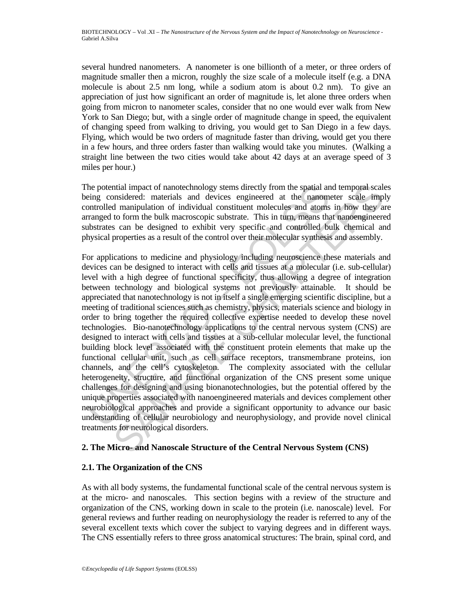several hundred nanometers. A nanometer is one billionth of a meter, or three orders of magnitude smaller then a micron, roughly the size scale of a molecule itself (e.g. a DNA molecule is about 2.5 nm long, while a sodium atom is about 0.2 nm). To give an appreciation of just how significant an order of magnitude is, let alone three orders when going from micron to nanometer scales, consider that no one would ever walk from New York to San Diego; but, with a single order of magnitude change in speed, the equivalent of changing speed from walking to driving, you would get to San Diego in a few days. Flying, which would be two orders of magnitude faster than driving, would get you there in a few hours, and three orders faster than walking would take you minutes. (Walking a straight line between the two cities would take about 42 days at an average speed of 3 miles per hour.)

The potential impact of nanotechnology stems directly from the spatial and temporal scales being considered: materials and devices engineered at the nanometer scale imply controlled manipulation of individual constituent molecules and atoms in how they are arranged to form the bulk macroscopic substrate. This in turn, means that nanoengineered substrates can be designed to exhibit very specific and controlled bulk chemical and physical properties as a result of the control over their molecular synthesis and assembly.

the potential impact of nanotechnology stems directly from the spatial and controlled manipulation of individual constitutent molecules and atoms arranged to form the bulk macroscopic substrate. This in turn, means than bu nital impact of nanotechnology stems directly from the spatial and temporal scales and sonsidered: materials and devives engineered at the nanometer scale implement of oform the bulk macroscopic substrate. This in turn, me For applications to medicine and physiology including neuroscience these materials and devices can be designed to interact with cells and tissues at a molecular (i.e. sub-cellular) level with a high degree of functional specificity, thus allowing a degree of integration between technology and biological systems not previously attainable. It should be appreciated that nanotechnology is not in itself a single emerging scientific discipline, but a meeting of traditional sciences such as chemistry, physics, materials science and biology in order to bring together the required collective expertise needed to develop these novel technologies. Bio-nanotechnology applications to the central nervous system (CNS) are designed to interact with cells and tissues at a sub-cellular molecular level, the functional building block level associated with the constituent protein elements that make up the functional cellular unit, such as cell surface receptors, transmembrane proteins, ion channels, and the cell's cytoskeleton. The complexity associated with the cellular heterogeneity, structure, and functional organization of the CNS present some unique challenges for designing and using bionanotechnologies, but the potential offered by the unique properties associated with nanoengineered materials and devices complement other neurobiological approaches and provide a significant opportunity to advance our basic understanding of cellular neurobiology and neurophysiology, and provide novel clinical treatments for neurological disorders.

## **2. The Micro- and Nanoscale Structure of the Central Nervous System (CNS)**

## **2.1. The Organization of the CNS**

As with all body systems, the fundamental functional scale of the central nervous system is at the micro- and nanoscales. This section begins with a review of the structure and organization of the CNS, working down in scale to the protein (i.e. nanoscale) level. For general reviews and further reading on neurophysiology the reader is referred to any of the several excellent texts which cover the subject to varying degrees and in different ways. The CNS essentially refers to three gross anatomical structures: The brain, spinal cord, and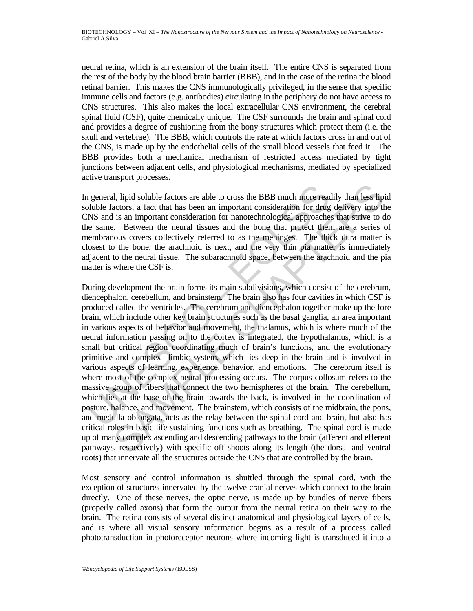neural retina, which is an extension of the brain itself. The entire CNS is separated from the rest of the body by the blood brain barrier (BBB), and in the case of the retina the blood retinal barrier. This makes the CNS immunologically privileged, in the sense that specific immune cells and factors (e.g. antibodies) circulating in the periphery do not have access to CNS structures. This also makes the local extracellular CNS environment, the cerebral spinal fluid (CSF), quite chemically unique. The CSF surrounds the brain and spinal cord and provides a degree of cushioning from the bony structures which protect them (i.e. the skull and vertebrae). The BBB, which controls the rate at which factors cross in and out of the CNS, is made up by the endothelial cells of the small blood vessels that feed it. The BBB provides both a mechanical mechanism of restricted access mediated by tight junctions between adjacent cells, and physiological mechanisms, mediated by specialized active transport processes.

In general, lipid soluble factors are able to cross the BBB much more readily than less lipid soluble factors, a fact that has been an important consideration for drug delivery into the CNS and is an important consideration for nanotechnological approaches that strive to do the same. Between the neural tissues and the bone that protect them are a series of membranous covers collectively referred to as the meninges. The thick dura matter is closest to the bone, the arachnoid is next, and the very thin pia matter is immediately adjacent to the neural tissue. The subarachnoid space, between the arachnoid and the pia matter is where the CSF is.

a general, lipid soluble factors are able to cross the BBB much more readuluble factors, a fact that has been an important consideration for drugNS and is an important consideration for nanotechnological approache e same. II, lipid soluble factors are able to cross the BBB much more readily than less lipitates are able to cross the BBB much more readily than less lipitates and the conduction for anotechnological approaches that strive to di During development the brain forms its main subdivisions, which consist of the cerebrum, diencephalon, cerebellum, and brainstem. The brain also has four cavities in which CSF is produced called the ventricles. The cerebrum and diencephalon together make up the fore brain, which include other key brain structures such as the basal ganglia, an area important in various aspects of behavior and movement, the thalamus, which is where much of the neural information passing on to the cortex is integrated, the hypothalamus, which is a small but critical region coordinating much of brain's functions, and the evolutionary primitive and complex limbic system, which lies deep in the brain and is involved in various aspects of learning, experience, behavior, and emotions. The cerebrum itself is where most of the complex neural processing occurs. The corpus collosum refers to the massive group of fibers that connect the two hemispheres of the brain. The cerebellum, which lies at the base of the brain towards the back, is involved in the coordination of posture, balance, and movement. The brainstem, which consists of the midbrain, the pons, and medulla oblongata, acts as the relay between the spinal cord and brain, but also has critical roles in basic life sustaining functions such as breathing. The spinal cord is made up of many complex ascending and descending pathways to the brain (afferent and efferent pathways, respectively) with specific off shoots along its length (the dorsal and ventral roots) that innervate all the structures outside the CNS that are controlled by the brain.

Most sensory and control information is shuttled through the spinal cord, with the exception of structures innervated by the twelve cranial nerves which connect to the brain directly. One of these nerves, the optic nerve, is made up by bundles of nerve fibers (properly called axons) that form the output from the neural retina on their way to the brain. The retina consists of several distinct anatomical and physiological layers of cells, and is where all visual sensory information begins as a result of a process called phototransduction in photoreceptor neurons where incoming light is transduced it into a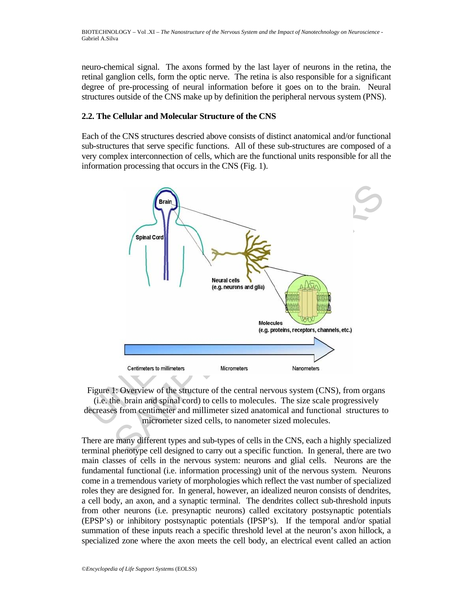neuro-chemical signal. The axons formed by the last layer of neurons in the retina, the retinal ganglion cells, form the optic nerve. The retina is also responsible for a significant degree of pre-processing of neural information before it goes on to the brain. Neural structures outside of the CNS make up by definition the peripheral nervous system (PNS).

## **2.2. The Cellular and Molecular Structure of the CNS**

Each of the CNS structures descried above consists of distinct anatomical and/or functional sub-structures that serve specific functions. All of these sub-structures are composed of a very complex interconnection of cells, which are the functional units responsible for all the information processing that occurs in the CNS (Fig. 1).



Figure 1: Overview of the structure of the central nervous system (CNS), from organs (i.e. the brain and spinal cord) to cells to molecules. The size scale progressively decreases from centimeter and millimeter sized anatomical and functional structures to micrometer sized cells, to nanometer sized molecules.

There are many different types and sub-types of cells in the CNS, each a highly specialized terminal phenotype cell designed to carry out a specific function. In general, there are two main classes of cells in the nervous system: neurons and glial cells. Neurons are the fundamental functional (i.e. information processing) unit of the nervous system. Neurons come in a tremendous variety of morphologies which reflect the vast number of specialized roles they are designed for. In general, however, an idealized neuron consists of dendrites, a cell body, an axon, and a synaptic terminal. The dendrites collect sub-threshold inputs from other neurons (i.e. presynaptic neurons) called excitatory postsynaptic potentials (EPSP's) or inhibitory postsynaptic potentials (IPSP's). If the temporal and/or spatial summation of these inputs reach a specific threshold level at the neuron's axon hillock, a specialized zone where the axon meets the cell body, an electrical event called an action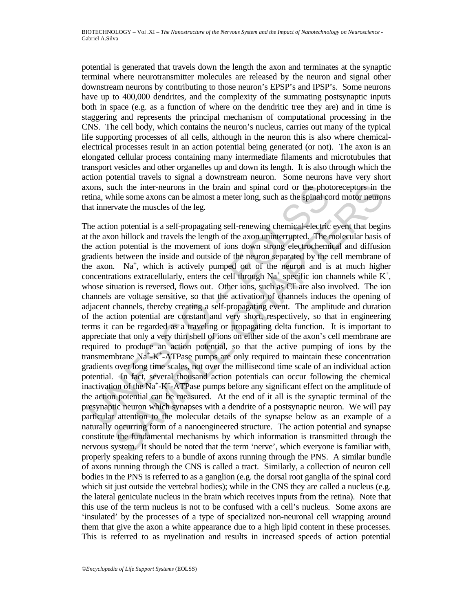potential is generated that travels down the length the axon and terminates at the synaptic terminal where neurotransmitter molecules are released by the neuron and signal other downstream neurons by contributing to those neuron's EPSP's and IPSP's. Some neurons have up to 400,000 dendrites, and the complexity of the summating postsynaptic inputs both in space (e.g. as a function of where on the dendritic tree they are) and in time is staggering and represents the principal mechanism of computational processing in the CNS. The cell body, which contains the neuron's nucleus, carries out many of the typical life supporting processes of all cells, although in the neuron this is also where chemicalelectrical processes result in an action potential being generated (or not). The axon is an elongated cellular process containing many intermediate filaments and microtubules that transport vesicles and other organelles up and down its length. It is also through which the action potential travels to signal a downstream neuron. Some neurons have very short axons, such the inter-neurons in the brain and spinal cord or the photoreceptors in the retina, while some axons can be almost a meter long, such as the spinal cord motor neurons that innervate the muscles of the leg.

xons, such the inter-neurons in the brain and spinal cord or the phot<br>tina, while some axons can be almost a meter long, such as the spinal c<br>at innervate the muscles of the leg.<br>he action potential is a self-propagating nch the inter-neurons in the brain and spinal cord or the photoreceptors in the some axons can be almost a meter long, such as the spinal cord motor neuror where the muscles of the leg.<br>
The some axons can be almost a met The action potential is a self-propagating self-renewing chemical-electric event that begins at the axon hillock and travels the length of the axon uninterrupted. The molecular basis of the action potential is the movement of ions down strong electrochemical and diffusion gradients between the inside and outside of the neuron separated by the cell membrane of the axon.  $Na<sup>+</sup>$ , which is actively pumped out of the neuron and is at much higher concentrations extracellularly, enters the cell through  $Na<sup>+</sup>$  specific ion channels while  $K<sup>+</sup>$ , whose situation is reversed, flows out. Other ions, such as CI are also involved. The ion channels are voltage sensitive, so that the activation of channels induces the opening of adjacent channels, thereby creating a self-propagating event. The amplitude and duration of the action potential are constant and very short, respectively, so that in engineering terms it can be regarded as a traveling or propagating delta function. It is important to appreciate that only a very thin shell of ions on either side of the axon's cell membrane are required to produce an action potential, so that the active pumping of ions by the transmembrane  $Na^+K^+$ -ATPase pumps are only required to maintain these concentration gradients over long time scales, not over the millisecond time scale of an individual action potential. In fact, several thousand action potentials can occur following the chemical inactivation of the  $Na^+$ - $K^+$ -ATPase pumps before any significant effect on the amplitude of the action potential can be measured. At the end of it all is the synaptic terminal of the presynaptic neuron which synapses with a dendrite of a postsynaptic neuron. We will pay particular attention to the molecular details of the synapse below as an example of a naturally occurring form of a nanoengineered structure. The action potential and synapse constitute the fundamental mechanisms by which information is transmitted through the nervous system. It should be noted that the term 'nerve', which everyone is familiar with, properly speaking refers to a bundle of axons running through the PNS. A similar bundle of axons running through the CNS is called a tract. Similarly, a collection of neuron cell bodies in the PNS is referred to as a ganglion (e.g. the dorsal root ganglia of the spinal cord which sit just outside the vertebral bodies); while in the CNS they are called a nucleus (e.g. the lateral geniculate nucleus in the brain which receives inputs from the retina). Note that this use of the term nucleus is not to be confused with a cell's nucleus. Some axons are 'insulated' by the processes of a type of specialized non-neuronal cell wrapping around them that give the axon a white appearance due to a high lipid content in these processes. This is referred to as myelination and results in increased speeds of action potential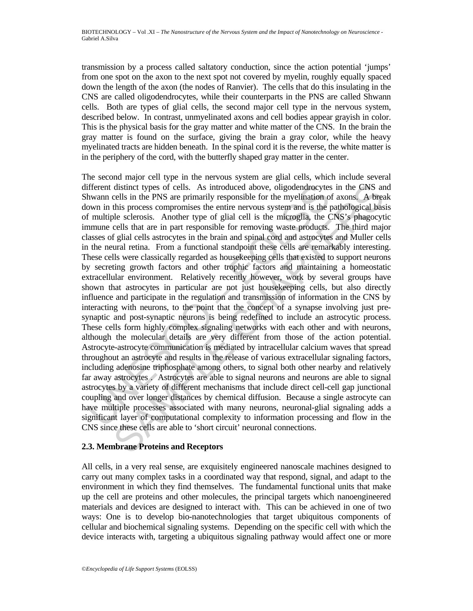transmission by a process called saltatory conduction, since the action potential 'jumps' from one spot on the axon to the next spot not covered by myelin, roughly equally spaced down the length of the axon (the nodes of Ranvier). The cells that do this insulating in the CNS are called oligodendrocytes, while their counterparts in the PNS are called Shwann cells. Both are types of glial cells, the second major cell type in the nervous system, described below. In contrast, unmyelinated axons and cell bodies appear grayish in color. This is the physical basis for the gray matter and white matter of the CNS. In the brain the gray matter is found on the surface, giving the brain a gray color, while the heavy myelinated tracts are hidden beneath. In the spinal cord it is the reverse, the white matter is in the periphery of the cord, with the butterfly shaped gray matter in the center.

ifferent distinct types of cells. As introduced above, oligodendrocytes<br>thrownn rells in the PNS are primarily responsible for the myelinain o<br>nown in this process compromises the entire nervous system and is the<br>f multipl distinct types of cells. As introduced above, oligodendrocytes in the CNS an<br>cells in the PNS are primarily responsible for the myclination of axons. A breach<br>this process compromises the entire nervous system and is the p The second major cell type in the nervous system are glial cells, which include several different distinct types of cells. As introduced above, oligodendrocytes in the CNS and Shwann cells in the PNS are primarily responsible for the myelination of axons. A break down in this process compromises the entire nervous system and is the pathological basis of multiple sclerosis. Another type of glial cell is the microglia, the CNS's phagocytic immune cells that are in part responsible for removing waste products. The third major classes of glial cells astrocytes in the brain and spinal cord and astrocytes and Muller cells in the neural retina. From a functional standpoint these cells are remarkably interesting. These cells were classically regarded as housekeeping cells that existed to support neurons by secreting growth factors and other trophic factors and maintaining a homeostatic extracellular environment. Relatively recently however, work by several groups have shown that astrocytes in particular are not just housekeeping cells, but also directly influence and participate in the regulation and transmission of information in the CNS by interacting with neurons, to the point that the concept of a synapse involving just presynaptic and post-synaptic neurons is being redefined to include an astrocytic process. These cells form highly complex signaling networks with each other and with neurons, although the molecular details are very different from those of the action potential. Astrocyte-astrocyte communication is mediated by intracellular calcium waves that spread throughout an astrocyte and results in the release of various extracellular signaling factors, including adenosine triphosphate among others, to signal both other nearby and relatively far away astrocytes . Astrocytes are able to signal neurons and neurons are able to signal astrocytes by a variety of different mechanisms that include direct cell-cell gap junctional coupling and over longer distances by chemical diffusion. Because a single astrocyte can have multiple processes associated with many neurons, neuronal-glial signaling adds a significant layer of computational complexity to information processing and flow in the CNS since these cells are able to 'short circuit' neuronal connections.

### **2.3. Membrane Proteins and Receptors**

All cells, in a very real sense, are exquisitely engineered nanoscale machines designed to carry out many complex tasks in a coordinated way that respond, signal, and adapt to the environment in which they find themselves. The fundamental functional units that make up the cell are proteins and other molecules, the principal targets which nanoengineered materials and devices are designed to interact with. This can be achieved in one of two ways: One is to develop bio-nanotechnologies that target ubiquitous components of cellular and biochemical signaling systems. Depending on the specific cell with which the device interacts with, targeting a ubiquitous signaling pathway would affect one or more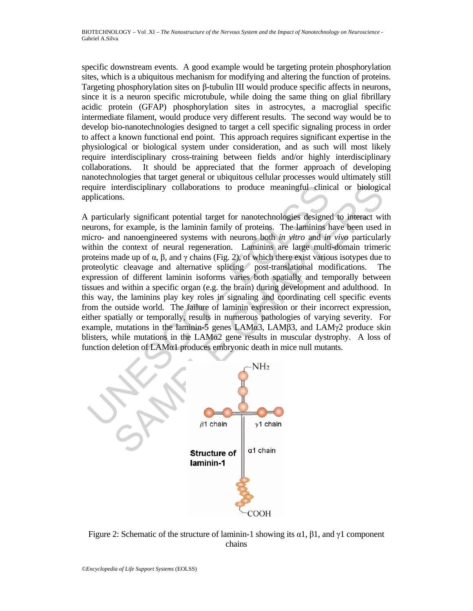specific downstream events. A good example would be targeting protein phosphorylation sites, which is a ubiquitous mechanism for modifying and altering the function of proteins. Targeting phosphorylation sites on β-tubulin III would produce specific affects in neurons, since it is a neuron specific microtubule, while doing the same thing on glial fibrillary acidic protein (GFAP) phosphorylation sites in astrocytes, a macroglial specific intermediate filament, would produce very different results. The second way would be to develop bio-nanotechnologies designed to target a cell specific signaling process in order to affect a known functional end point. This approach requires significant expertise in the physiological or biological system under consideration, and as such will most likely require interdisciplinary cross-training between fields and/or highly interdisciplinary collaborations. It should be appreciated that the former approach of developing nanotechnologies that target general or ubiquitous cellular processes would ultimately still require interdisciplinary collaborations to produce meaningful clinical or biological applications.

equire interdisciplinary collaborations to produce meaningful clinic<br>pplications.<br>particularly significant potential target for nanotechnologies designee<br>eurons, for example, is the laminin family of proteins. The laminins merci disciplinary collaborations to produce meaningful clinical or biologic:<br>
mas.<br>
hardy significant potential target for nanotechnologies designed to interact with<br>
for example, is the laminin family of proteins. The la A particularly significant potential target for nanotechnologies designed to interact with neurons, for example, is the laminin family of proteins. The laminins have been used in micro- and nanoengineered systems with neurons both *in vitro* and *in vivo* particularly within the context of neural regeneration. Laminins are large multi-domain trimeric proteins made up of α,  $β$ , and  $γ$  chains (Fig. 2), of which there exist various isotypes due to proteolytic cleavage and alternative splicing post-translational modifications. The expression of different laminin isoforms varies both spatially and temporally between tissues and within a specific organ (e.g. the brain) during development and adulthood. In this way, the laminins play key roles in signaling and coordinating cell specific events from the outside world. The failure of laminin expression or their incorrect expression, either spatially or temporally, results in numerous pathologies of varying severity. For example, mutations in the laminin-5 genes LAM $\alpha$ 3, LAM $\beta$ 3, and LAM $\gamma$ 2 produce skin blisters, while mutations in the LAM $\alpha$ 2 gene results in muscular dystrophy. A loss of function deletion of LAMα1 produces embryonic death in mice null mutants.



Figure 2: Schematic of the structure of laminin-1 showing its α1,  $β1$ , and  $γ1$  component chains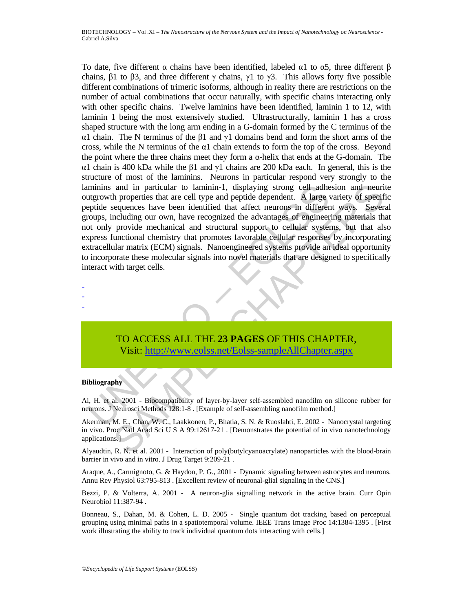minins and in particular to laminin-1, displaying strong cell adhet<br>tyrowth properties that are cell type and peptide dependent. A large verticle sequences have been identified that affect neuros in different<br>poticy, inclu and in particular to laminin-1, displaying strong cell adhesion and neurin<br>
propries that are cell type and peptide dependent. A large variety of specific<br>
requences have been identified that affect neurons in different wa To date, five different α chains have been identified, labeled α1 to α5, three different β chains, β1 to β3, and three different γ chains, γ1 to γ3. This allows forty five possible different combinations of trimeric isoforms, although in reality there are restrictions on the number of actual combinations that occur naturally, with specific chains interacting only with other specific chains. Twelve laminins have been identified, laminin 1 to 12, with laminin 1 being the most extensively studied. Ultrastructurally, laminin 1 has a cross shaped structure with the long arm ending in a G-domain formed by the C terminus of the α1 chain. The N terminus of the β1 and γ1 domains bend and form the short arms of the cross, while the N terminus of the  $\alpha$ 1 chain extends to form the top of the cross. Beyond the point where the three chains meet they form a  $\alpha$ -helix that ends at the G-domain. The α1 chain is 400 kDa while the β1 and γ1 chains are 200 kDa each. In general, this is the structure of most of the laminins. Neurons in particular respond very strongly to the laminins and in particular to laminin-1, displaying strong cell adhesion and neurite outgrowth properties that are cell type and peptide dependent. A large variety of specific peptide sequences have been identified that affect neurons in different ways. Several groups, including our own, have recognized the advantages of engineering materials that not only provide mechanical and structural support to cellular systems, but that also express functional chemistry that promotes favorable cellular responses by incorporating extracellular matrix (ECM) signals. Nanoengineered systems provide an ideal opportunity to incorporate these molecular signals into novel materials that are designed to specifically interact with target cells.

TO ACCESS ALL THE **23 PAGES** OF THIS CHAPTER, Visit: http://www.eolss.net/Eolss-sampleAllChapter.aspx

#### **Bibliography**

- - -

Ai, H. et al. 2001 - Biocompatibility of layer-by-layer self-assembled nanofilm on silicone rubber for neurons. J Neurosci Methods 128:1-8 . [Example of self-assembling nanofilm method.]

Akerman, M. E., Chan, W. C., Laakkonen, P., Bhatia, S. N. & Ruoslahti, E. 2002 - Nanocrystal targeting in vivo. Proc Natl Acad Sci U S A 99:12617-21 . [Demonstrates the potential of in vivo nanotechnology applications.]

Alyaudtin, R. N. et al. 2001 - Interaction of poly(butylcyanoacrylate) nanoparticles with the blood-brain barrier in vivo and in vitro. J Drug Target 9:209-21 .

Araque, A., Carmignoto, G. & Haydon, P. G., 2001 - Dynamic signaling between astrocytes and neurons. Annu Rev Physiol 63:795-813 . [Excellent review of neuronal-glial signaling in the CNS.]

Bezzi, P. & Volterra, A. 2001 - A neuron-glia signalling network in the active brain. Curr Opin Neurobiol 11:387-94 .

Bonneau, S., Dahan, M. & Cohen, L. D. 2005 - Single quantum dot tracking based on perceptual grouping using minimal paths in a spatiotemporal volume. IEEE Trans Image Proc 14:1384-1395 . [First work illustrating the ability to track individual quantum dots interacting with cells.]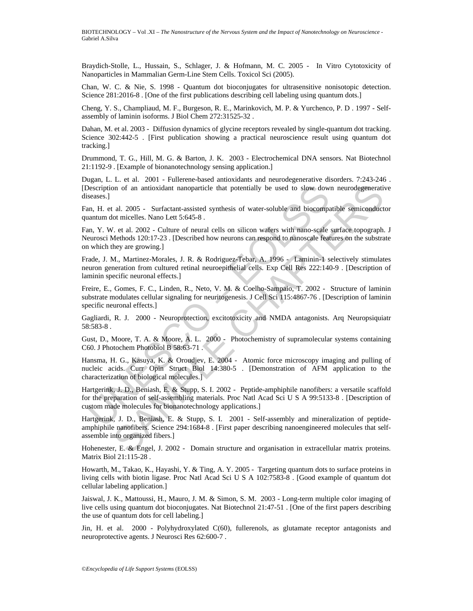Braydich-Stolle, L., Hussain, S., Schlager, J. & Hofmann, M. C. 2005 - In Vitro Cytotoxicity of Nanoparticles in Mammalian Germ-Line Stem Cells. Toxicol Sci (2005).

Chan, W. C. & Nie, S. 1998 - Quantum dot bioconjugates for ultrasensitive nonisotopic detection. Science 281:2016-8 . [One of the first publications describing cell labeling using quantum dots.]

Cheng, Y. S., Champliaud, M. F., Burgeson, R. E., Marinkovich, M. P. & Yurchenco, P. D . 1997 - Selfassembly of laminin isoforms. J Biol Chem 272:31525-32 .

Dahan, M. et al. 2003 - Diffusion dynamics of glycine receptors revealed by single-quantum dot tracking. Science 302:442-5 . [First publication showing a practical neuroscience result using quantum dot tracking.]

Drummond, T. G., Hill, M. G. & Barton, J. K. 2003 - Electrochemical DNA sensors. Nat Biotechnol 21:1192-9 . [Example of bionanotechnology sensing application.]

Dugan, L. L. et al. 2001 - Fullerene-based antioxidants and neurodegenerative disorders. 7:243-246 . [Description of an antioxidant nanoparticle that potentially be used to slow down neurodegenerative diseases.]

Fan, H. et al. 2005 - Surfactant-assisted synthesis of water-soluble and biocompatible semiconductor quantum dot micelles. Nano Lett 5:645-8 .

Fan, Y. W. et al. 2002 - Culture of neural cells on silicon wafers with nano-scale surface topograph. J Neurosci Methods 120:17-23 . [Described how neurons can respond to nanoscale features on the substrate on which they are growing.]

Frade, J. M., Martinez-Morales, J. R. & Rodriguez-Tebar, A. 1996 - Laminin-1 selectively stimulates neuron generation from cultured retinal neuroepithelial cells. Exp Cell Res 222:140-9 . [Description of laminin specific neuronal effects.]

Description of an antioxidant nanoparticle that potentially be used to slow dow:<br>seases.]<br>m, H. et al. 2005 - Surfactant-assisted synthesis of water-soluble and biocompan.<br>m, H. et al. 2005 - Surfactant-assisted synthesis on of an antioxidant nanoparticle that potentially be used to slow down neurodegenerative at a 2005 - Surfactant-assisted synthesis of water-soluble and biocompatible semiconductot micelles. Nano Lett 5:645-8 .<br>
(.et al. 2 Freire, E., Gomes, F. C., Linden, R., Neto, V. M. & Coelho-Sampaio, T. 2002 - Structure of laminin substrate modulates cellular signaling for neuritogenesis. J Cell Sci 115:4867-76 . [Description of laminin specific neuronal effects.]

Gagliardi, R. J. 2000 - Neuroprotection, excitotoxicity and NMDA antagonists. Arq Neuropsiquiatr 58:583-8 .

Gust, D., Moore, T. A. & Moore, A. L. 2000 - Photochemistry of supramolecular systems containing C60. J Photochem Photobiol B 58:63-71 .

Hansma, H. G., Kasuya, K. & Oroudjev, E. 2004 - Atomic force microscopy imaging and pulling of nucleic acids. Curr Opin Struct Biol 14:380-5 . [Demonstration of AFM application to the characterization of biological molecules.]

Hartgerink, J. D., Beniash, E. & Stupp, S. I. 2002 - Peptide-amphiphile nanofibers: a versatile scaffold for the preparation of self-assembling materials. Proc Natl Acad Sci U S A 99:5133-8 . [Description of custom made molecules for bionanotechnology applications.]

Hartgerink, J. D., Beniash, E. & Stupp, S. I. 2001 - Self-assembly and mineralization of peptideamphiphile nanofibers. Science 294:1684-8 . [First paper describing nanoengineered molecules that selfassemble into organized fibers.]

Hohenester, E. & Engel, J. 2002 - Domain structure and organisation in extracellular matrix proteins. Matrix Biol 21:115-28 .

Howarth, M., Takao, K., Hayashi, Y. & Ting, A. Y. 2005 - Targeting quantum dots to surface proteins in living cells with biotin ligase. Proc Natl Acad Sci U S A 102:7583-8 . [Good example of quantum dot cellular labeling application.]

Jaiswal, J. K., Mattoussi, H., Mauro, J. M. & Simon, S. M. 2003 - Long-term multiple color imaging of live cells using quantum dot bioconjugates. Nat Biotechnol 21:47-51 . [One of the first papers describing the use of quantum dots for cell labeling.]

Jin, H. et al. 2000 - Polyhydroxylated C(60), fullerenols, as glutamate receptor antagonists and neuroprotective agents. J Neurosci Res 62:600-7 .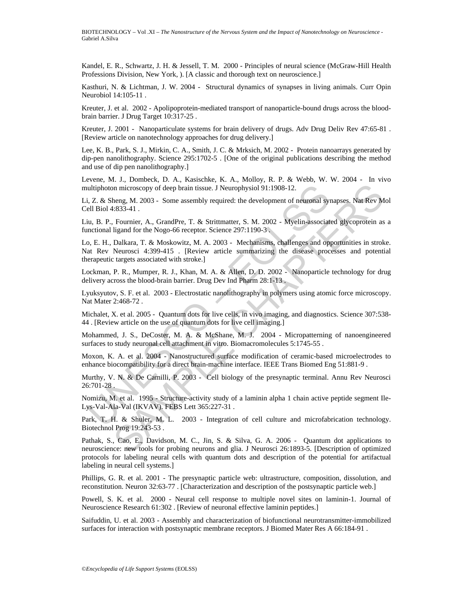Kandel, E. R., Schwartz, J. H. & Jessell, T. M. 2000 - Principles of neural science (McGraw-Hill Health Professions Division, New York, ). [A classic and thorough text on neuroscience.]

Kasthuri, N. & Lichtman, J. W. 2004 - Structural dynamics of synapses in living animals. Curr Opin Neurobiol 14:105-11 .

Kreuter, J. et al. 2002 - Apolipoprotein-mediated transport of nanoparticle-bound drugs across the bloodbrain barrier. J Drug Target 10:317-25 .

Kreuter, J. 2001 - Nanoparticulate systems for brain delivery of drugs. Adv Drug Deliv Rev 47:65-81 . [Review article on nanotechnology approaches for drug delivery.]

Lee, K. B., Park, S. J., Mirkin, C. A., Smith, J. C. & Mrksich, M. 2002 - Protein nanoarrays generated by dip-pen nanolithography. Science 295:1702-5 . [One of the original publications describing the method and use of dip pen nanolithography.]

Levene, M. J., Dombeck, D. A., Kasischke, K. A., Molloy, R. P. & Webb, W. W. 2004 - In vivo multiphoton microscopy of deep brain tissue. J Neurophysiol 91:1908-12.

Li, Z. & Sheng, M. 2003 - Some assembly required: the development of neuronal synapses. Nat Rev Mol Cell Biol 4:833-41 .

Liu, B. P., Fournier, A., GrandPre, T. & Strittmatter, S. M. 2002 - Myelin-associated glycoprotein as a functional ligand for the Nogo-66 receptor. Science 297:1190-3 .

ultiphoton microscopy of deep brain tissue. J Neurophysioi 91:1908-12.<br>
i., Z. & Sheng, M. 2003 - Some assembly required: the development of neuronal syell Biol 4:833-41.<br>
i.u., B. P., Fournier, A., GrandPre, T. & Strittma on microscopy of deep brain tissue. J Neurophysiol 91:1908-12.<br>
Results, 12003 - Some assembly required: the development of neurorial synapses. Nat Rev M-<br>
SESS3-41.<br>
Fournier. A., GrandPre, T. & Strittmatter, S. M. 2002 -Lo, E. H., Dalkara, T. & Moskowitz, M. A. 2003 - Mechanisms, challenges and opportunities in stroke. Nat Rev Neurosci 4:399-415 . [Review article summarizing the disease processes and potential therapeutic targets associated with stroke.]

Lockman, P. R., Mumper, R. J., Khan, M. A. & Allen, D. D. 2002 - Nanoparticle technology for drug delivery across the blood-brain barrier. Drug Dev Ind Pharm 28:1-13 .

Lyuksyutov, S. F. et al. 2003 - Electrostatic nanolithography in polymers using atomic force microscopy. Nat Mater 2:468-72 .

Michalet, X. et al. 2005 - Quantum dots for live cells, in vivo imaging, and diagnostics. Science 307:538- 44 . [Review article on the use of quantum dots for live cell imaging.]

Mohammed, J. S., DeCoster, M. A. & McShane, M. J. 2004 - Micropatterning of nanoengineered surfaces to study neuronal cell attachment in vitro. Biomacromolecules 5:1745-55 .

Moxon, K. A. et al. 2004 - Nanostructured surface modification of ceramic-based microelectrodes to enhance biocompatibility for a direct brain-machine interface. IEEE Trans Biomed Eng 51:881-9 .

Murthy, V. N. & De Camilli, P. 2003 - Cell biology of the presynaptic terminal. Annu Rev Neurosci 26:701-28 .

Nomizu, M. et al. 1995 - Structure-activity study of a laminin alpha 1 chain active peptide segment Ile-Lys-Val-Ala-Val (IKVAV). FEBS Lett 365:227-31 .

Park, T. H. & Shuler, M. L. 2003 - Integration of cell culture and microfabrication technology. Biotechnol Prog 19:243-53 .

Pathak, S., Cao, E., Davidson, M. C., Jin, S. & Silva, G. A. 2006 - Quantum dot applications to neuroscience: new tools for probing neurons and glia. J Neurosci 26:1893-5. [Description of optimized protocols for labeling neural cells with quantum dots and description of the potential for artifactual labeling in neural cell systems.]

Phillips, G. R. et al. 2001 - The presynaptic particle web: ultrastructure, composition, dissolution, and reconstitution. Neuron 32:63-77 . [Characterization and description of the postsynaptic particle web.]

Powell, S. K. et al. 2000 - Neural cell response to multiple novel sites on laminin-1. Journal of Neuroscience Research 61:302 . [Review of neuronal effective laminin peptides.]

Saifuddin, U. et al. 2003 - Assembly and characterization of biofunctional neurotransmitter-immobilized surfaces for interaction with postsynaptic membrane receptors. J Biomed Mater Res A 66:184-91 .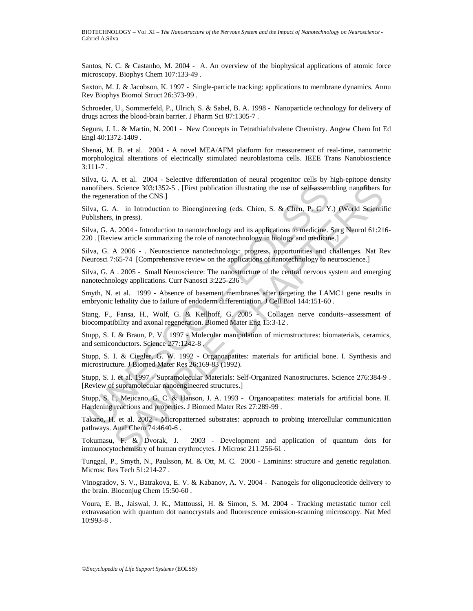Santos, N. C. & Castanho, M. 2004 - A. An overview of the biophysical applications of atomic force microscopy. Biophys Chem 107:133-49 .

Saxton, M. J. & Jacobson, K. 1997 - Single-particle tracking: applications to membrane dynamics. Annu Rev Biophys Biomol Struct 26:373-99 .

Schroeder, U., Sommerfeld, P., Ulrich, S. & Sabel, B. A. 1998 - Nanoparticle technology for delivery of drugs across the blood-brain barrier. J Pharm Sci 87:1305-7 .

Segura, J. L. & Martin, N. 2001 - New Concepts in Tetrathiafulvalene Chemistry. Angew Chem Int Ed Engl 40:1372-1409 .

Shenai, M. B. et al. 2004 - A novel MEA/AFM platform for measurement of real-time, nanometric morphological alterations of electrically stimulated neuroblastoma cells. IEEE Trans Nanobioscience 3:111-7 .

unofibers. Science 303:1352-5 . [First publication illustrating the use of self-assem<br>regeneration of the CNS.]<br>va, G. A. in Introduction to Bioengineering (eds. Chien, S. & Chen, P. C. Y<br>iva, G. A. 2004 - Introduction to Science 303:1352-5 . [First publication illustrating the use of self-assembling nanofibers for<br>totion of the CNS.]<br>A. in Introduction to Bioengineering (eds. Chien, S. & Chen, P. C. Y.) (World Scientii<br>A. in Introduction t Silva, G. A. et al. 2004 - Selective differentiation of neural progenitor cells by high-epitope density nanofibers. Science 303:1352-5 . [First publication illustrating the use of self-assembling nanofibers for the regeneration of the CNS.]

Silva, G. A. in Introduction to Bioengineering (eds. Chien, S. & Chen, P. C. Y.) (World Scientific Publishers, in press).

Silva, G. A. 2004 - Introduction to nanotechnology and its applications to medicine. Surg Neurol 61:216- 220 . [Review article summarizing the role of nanotechnology in biology and medicine.]

Silva, G. A 2006 - . Neuroscience nanotechnology: progress, opportunities and challenges. Nat Rev Neurosci 7:65-74 [Comprehensive review on the applications of nanotechnology to neuroscience.]

Silva, G. A . 2005 - Small Neuroscience: The nanostructure of the central nervous system and emerging nanotechnology applications. Curr Nanosci 3:225-236 .

Smyth, N. et al. 1999 - Absence of basement membranes after targeting the LAMC1 gene results in embryonic lethality due to failure of endoderm differentiation. J Cell Biol 144:151-60 .

Stang, F., Fansa, H., Wolf, G. & Keilhoff, G. 2005 - Collagen nerve conduits--assessment of biocompatibility and axonal regeneration. Biomed Mater Eng 15:3-12 .

Stupp, S. I. & Braun, P. V. 1997 - Molecular manipulation of microstructures: biomaterials, ceramics, and semiconductors. Science 277:1242-8 .

Stupp, S. I. & Ciegler, G. W. 1992 - Organoapatites: materials for artificial bone. I. Synthesis and microstructure. J Biomed Mater Res 26:169-83 (1992).

Stupp, S. I. et al. 1997 - Supramolecular Materials: Self-Organized Nanostructures. Science 276:384-9 . [Review of supramolecular nanoengineered structures.]

Stupp, S. I., Mejicano, G. C. & Hanson, J. A. 1993 - Organoapatites: materials for artificial bone. II. Hardening reactions and properties. J Biomed Mater Res 27:289-99 .

Takano, H. et al. 2002 - Micropatterned substrates: approach to probing intercellular communication pathways. Anal Chem 74:4640-6 .

Tokumasu, F. & Dvorak, J. 2003 - Development and application of quantum dots for immunocytochemistry of human erythrocytes. J Microsc 211:256-61 .

Tunggal, P., Smyth, N., Paulsson, M. & Ott, M. C. 2000 - Laminins: structure and genetic regulation. Microsc Res Tech 51:214-27 .

Vinogradov, S. V., Batrakova, E. V. & Kabanov, A. V. 2004 - Nanogels for oligonucleotide delivery to the brain. Bioconjug Chem 15:50-60 .

Voura, E. B., Jaiswal, J. K., Mattoussi, H. & Simon, S. M. 2004 - Tracking metastatic tumor cell extravasation with quantum dot nanocrystals and fluorescence emission-scanning microscopy. Nat Med 10:993-8 .